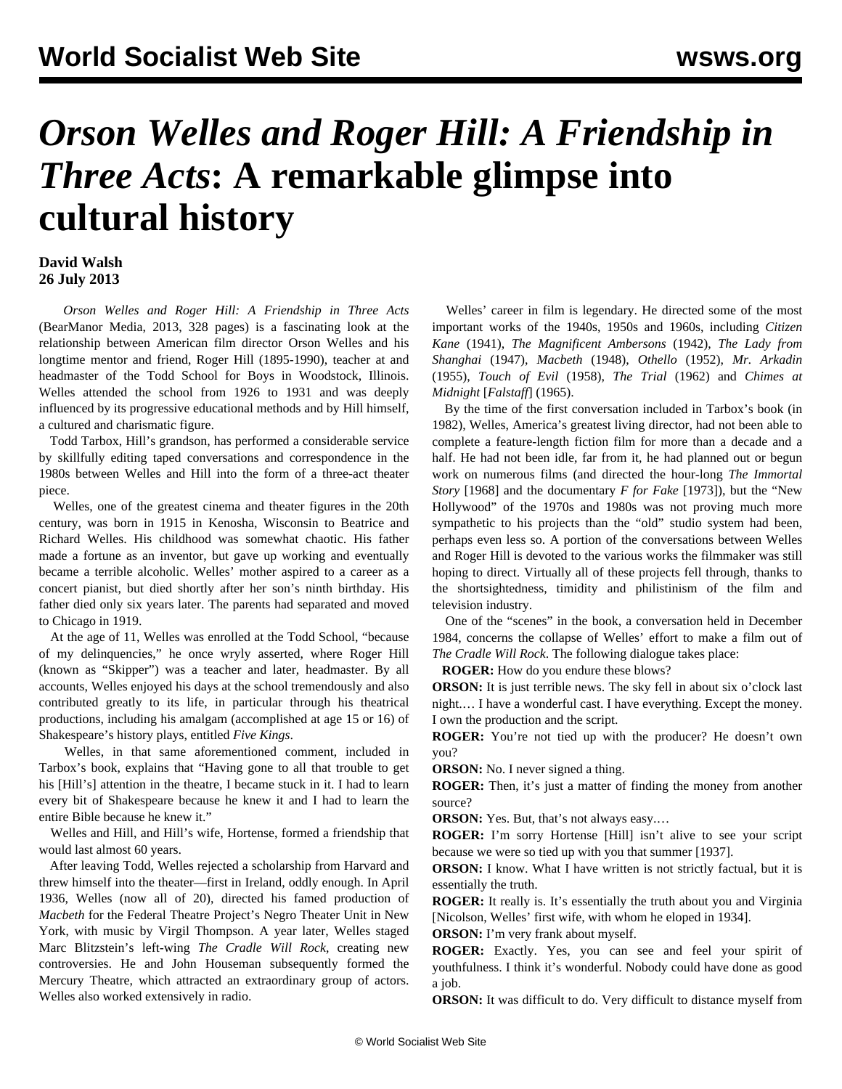## *Orson Welles and Roger Hill: A Friendship in Three Acts***: A remarkable glimpse into cultural history**

## **David Walsh 26 July 2013**

 *Orson Welles and Roger Hill: A Friendship in Three Acts* (BearManor Media, 2013, 328 pages) is a fascinating look at the relationship between American film director Orson Welles and his longtime mentor and friend, Roger Hill (1895-1990), teacher at and headmaster of the Todd School for Boys in Woodstock, Illinois. Welles attended the school from 1926 to 1931 and was deeply influenced by its progressive educational methods and by Hill himself, a cultured and charismatic figure.

 Todd Tarbox, Hill's grandson, has performed a considerable service by skillfully editing taped conversations and correspondence in the 1980s between Welles and Hill into the form of a three-act theater piece.

 Welles, one of the greatest cinema and theater figures in the 20th century, was born in 1915 in Kenosha, Wisconsin to Beatrice and Richard Welles. His childhood was somewhat chaotic. His father made a fortune as an inventor, but gave up working and eventually became a terrible alcoholic. Welles' mother aspired to a career as a concert pianist, but died shortly after her son's ninth birthday. His father died only six years later. The parents had separated and moved to Chicago in 1919.

 At the age of 11, Welles was enrolled at the Todd School, "because of my delinquencies," he once wryly asserted, where Roger Hill (known as "Skipper") was a teacher and later, headmaster. By all accounts, Welles enjoyed his days at the school tremendously and also contributed greatly to its life, in particular through his theatrical productions, including his amalgam (accomplished at age 15 or 16) of Shakespeare's history plays, entitled *Five Kings*.

 Welles, in that same aforementioned comment, included in Tarbox's book, explains that "Having gone to all that trouble to get his [Hill's] attention in the theatre, I became stuck in it. I had to learn every bit of Shakespeare because he knew it and I had to learn the entire Bible because he knew it."

 Welles and Hill, and Hill's wife, Hortense, formed a friendship that would last almost 60 years.

 After leaving Todd, Welles rejected a scholarship from Harvard and threw himself into the theater—first in Ireland, oddly enough. In April 1936, Welles (now all of 20), directed his famed production of *Macbeth* for the Federal Theatre Project's Negro Theater Unit in New York, with music by Virgil Thompson. A year later, Welles staged Marc Blitzstein's left-wing *The Cradle Will Rock*, creating new controversies. He and John Houseman subsequently formed the Mercury Theatre, which attracted an extraordinary group of actors. Welles also worked extensively in radio.

 Welles' career in film is legendary. He directed some of the most important works of the 1940s, 1950s and 1960s, including *Citizen Kane* (1941), *The Magnificent Ambersons* (1942), *The Lady from Shanghai* (1947), *Macbeth* (1948), *Othello* (1952), *Mr. Arkadin* (1955), *Touch of Evil* (1958), *The Trial* (1962) and *Chimes at Midnight* [*Falstaff*] (1965).

 By the time of the first conversation included in Tarbox's book (in 1982), Welles, America's greatest living director, had not been able to complete a feature-length fiction film for more than a decade and a half. He had not been idle, far from it, he had planned out or begun work on numerous films (and directed the hour-long *The Immortal Story* [1968] and the documentary *F for Fake* [1973]), but the "New Hollywood" of the 1970s and 1980s was not proving much more sympathetic to his projects than the "old" studio system had been, perhaps even less so. A portion of the conversations between Welles and Roger Hill is devoted to the various works the filmmaker was still hoping to direct. Virtually all of these projects fell through, thanks to the shortsightedness, timidity and philistinism of the film and television industry.

 One of the "scenes" in the book, a conversation held in December 1984, concerns the collapse of Welles' effort to make a film out of *The Cradle Will Rock*. The following dialogue takes place:

**ROGER:** How do you endure these blows?

**ORSON:** It is just terrible news. The sky fell in about six o'clock last night.… I have a wonderful cast. I have everything. Except the money. I own the production and the script.

**ROGER:** You're not tied up with the producer? He doesn't own you?

**ORSON:** No. I never signed a thing.

**ROGER:** Then, it's just a matter of finding the money from another source?

**ORSON:** Yes. But, that's not always easy....

**ROGER:** I'm sorry Hortense [Hill] isn't alive to see your script because we were so tied up with you that summer [1937].

**ORSON:** I know. What I have written is not strictly factual, but it is essentially the truth.

**ROGER:** It really is. It's essentially the truth about you and Virginia [Nicolson, Welles' first wife, with whom he eloped in 1934].

**ORSON:** I'm very frank about myself.

**ROGER:** Exactly. Yes, you can see and feel your spirit of youthfulness. I think it's wonderful. Nobody could have done as good a job.

**ORSON:** It was difficult to do. Very difficult to distance myself from